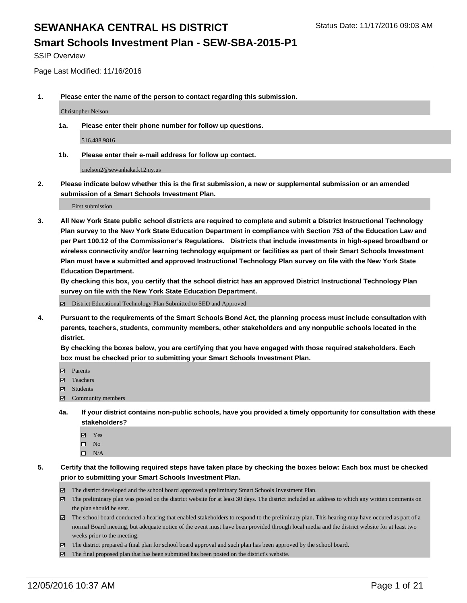SSIP Overview

Page Last Modified: 11/16/2016

**1. Please enter the name of the person to contact regarding this submission.**

Christopher Nelson

**1a. Please enter their phone number for follow up questions.**

516.488.9816

**1b. Please enter their e-mail address for follow up contact.**

cnelson2@sewanhaka.k12.ny.us

**2. Please indicate below whether this is the first submission, a new or supplemental submission or an amended submission of a Smart Schools Investment Plan.**

First submission

**3. All New York State public school districts are required to complete and submit a District Instructional Technology Plan survey to the New York State Education Department in compliance with Section 753 of the Education Law and per Part 100.12 of the Commissioner's Regulations. Districts that include investments in high-speed broadband or wireless connectivity and/or learning technology equipment or facilities as part of their Smart Schools Investment Plan must have a submitted and approved Instructional Technology Plan survey on file with the New York State Education Department.** 

**By checking this box, you certify that the school district has an approved District Instructional Technology Plan survey on file with the New York State Education Department.**

District Educational Technology Plan Submitted to SED and Approved

**4. Pursuant to the requirements of the Smart Schools Bond Act, the planning process must include consultation with parents, teachers, students, community members, other stakeholders and any nonpublic schools located in the district.** 

**By checking the boxes below, you are certifying that you have engaged with those required stakeholders. Each box must be checked prior to submitting your Smart Schools Investment Plan.**

- **Parents**
- Teachers
- **冈** Students
- Community members
- **4a. If your district contains non-public schools, have you provided a timely opportunity for consultation with these stakeholders?**
	- Yes
	- $\square$  No
	- $\square$  N/A
- **5. Certify that the following required steps have taken place by checking the boxes below: Each box must be checked prior to submitting your Smart Schools Investment Plan.**
	- The district developed and the school board approved a preliminary Smart Schools Investment Plan.
	- The preliminary plan was posted on the district website for at least 30 days. The district included an address to which any written comments on the plan should be sent.
	- The school board conducted a hearing that enabled stakeholders to respond to the preliminary plan. This hearing may have occured as part of a normal Board meeting, but adequate notice of the event must have been provided through local media and the district website for at least two weeks prior to the meeting.
	- The district prepared a final plan for school board approval and such plan has been approved by the school board.
	- $\boxtimes$  The final proposed plan that has been submitted has been posted on the district's website.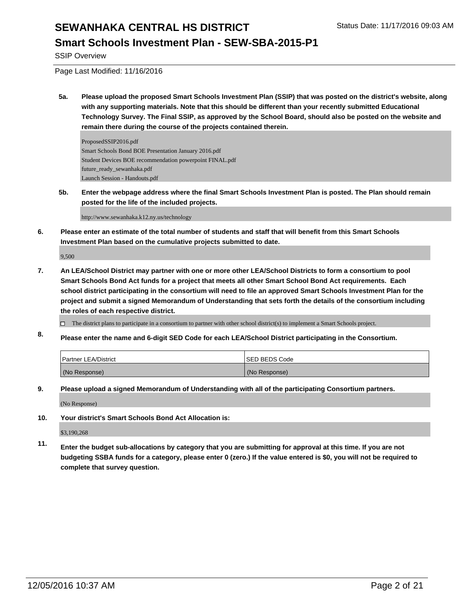### **Smart Schools Investment Plan - SEW-SBA-2015-P1**

SSIP Overview

Page Last Modified: 11/16/2016

**5a. Please upload the proposed Smart Schools Investment Plan (SSIP) that was posted on the district's website, along with any supporting materials. Note that this should be different than your recently submitted Educational Technology Survey. The Final SSIP, as approved by the School Board, should also be posted on the website and remain there during the course of the projects contained therein.**

ProposedSSIP2016.pdf Smart Schools Bond BOE Presentation January 2016.pdf Student Devices BOE recommendation powerpoint FINAL.pdf future\_ready\_sewanhaka.pdf Launch Session - Handouts.pdf

**5b. Enter the webpage address where the final Smart Schools Investment Plan is posted. The Plan should remain posted for the life of the included projects.**

http://www.sewanhaka.k12.ny.us/technology

**6. Please enter an estimate of the total number of students and staff that will benefit from this Smart Schools Investment Plan based on the cumulative projects submitted to date.**

9,500

**7. An LEA/School District may partner with one or more other LEA/School Districts to form a consortium to pool Smart Schools Bond Act funds for a project that meets all other Smart School Bond Act requirements. Each school district participating in the consortium will need to file an approved Smart Schools Investment Plan for the project and submit a signed Memorandum of Understanding that sets forth the details of the consortium including the roles of each respective district.**

 $\Box$  The district plans to participate in a consortium to partner with other school district(s) to implement a Smart Schools project.

**8. Please enter the name and 6-digit SED Code for each LEA/School District participating in the Consortium.**

| <b>Partner LEA/District</b> | <b>ISED BEDS Code</b> |
|-----------------------------|-----------------------|
| (No Response)               | (No Response)         |

- **9. Please upload a signed Memorandum of Understanding with all of the participating Consortium partners.** (No Response)
- **10. Your district's Smart Schools Bond Act Allocation is:**

\$3,190,268

**11. Enter the budget sub-allocations by category that you are submitting for approval at this time. If you are not budgeting SSBA funds for a category, please enter 0 (zero.) If the value entered is \$0, you will not be required to complete that survey question.**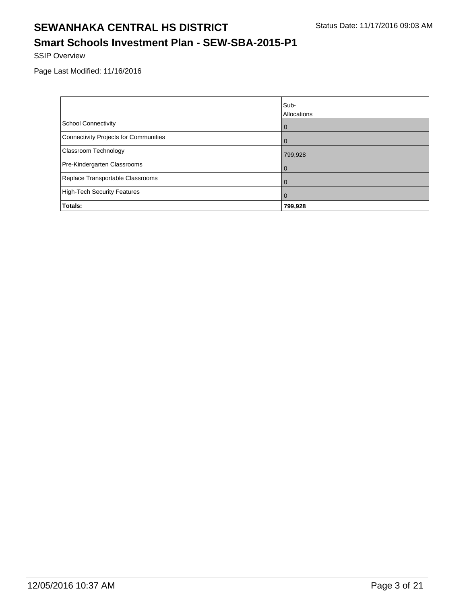### **Smart Schools Investment Plan - SEW-SBA-2015-P1**

SSIP Overview

Page Last Modified: 11/16/2016

|                                              | Sub-           |
|----------------------------------------------|----------------|
|                                              | Allocations    |
| <b>School Connectivity</b>                   | $\overline{0}$ |
| <b>Connectivity Projects for Communities</b> | $\Omega$       |
| Classroom Technology                         | 799,928        |
| Pre-Kindergarten Classrooms                  | $\mathbf 0$    |
| Replace Transportable Classrooms             | $\mathbf 0$    |
| <b>High-Tech Security Features</b>           | $\mathbf 0$    |
| Totals:                                      | 799,928        |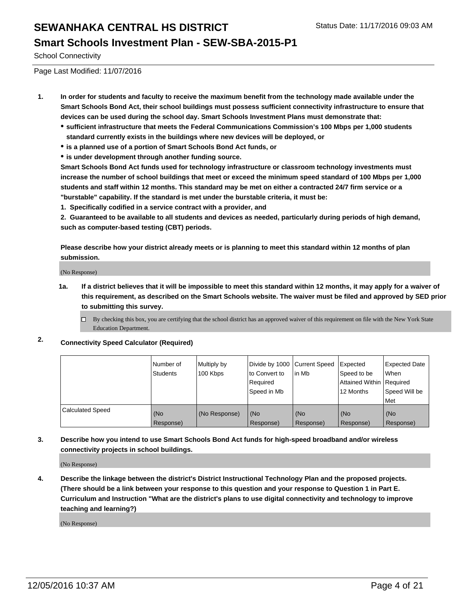School Connectivity

Page Last Modified: 11/07/2016

- **1. In order for students and faculty to receive the maximum benefit from the technology made available under the Smart Schools Bond Act, their school buildings must possess sufficient connectivity infrastructure to ensure that devices can be used during the school day. Smart Schools Investment Plans must demonstrate that:**
	- **sufficient infrastructure that meets the Federal Communications Commission's 100 Mbps per 1,000 students standard currently exists in the buildings where new devices will be deployed, or**
	- **is a planned use of a portion of Smart Schools Bond Act funds, or**
	- **is under development through another funding source.**

**Smart Schools Bond Act funds used for technology infrastructure or classroom technology investments must increase the number of school buildings that meet or exceed the minimum speed standard of 100 Mbps per 1,000 students and staff within 12 months. This standard may be met on either a contracted 24/7 firm service or a "burstable" capability. If the standard is met under the burstable criteria, it must be:**

**1. Specifically codified in a service contract with a provider, and**

**2. Guaranteed to be available to all students and devices as needed, particularly during periods of high demand, such as computer-based testing (CBT) periods.**

**Please describe how your district already meets or is planning to meet this standard within 12 months of plan submission.**

(No Response)

**1a. If a district believes that it will be impossible to meet this standard within 12 months, it may apply for a waiver of this requirement, as described on the Smart Schools website. The waiver must be filed and approved by SED prior to submitting this survey.**

 $\Box$ By checking this box, you are certifying that the school district has an approved waiver of this requirement on file with the New York State Education Department.

**2. Connectivity Speed Calculator (Required)**

|                         | l Number of<br>Students | Multiply by<br>100 Kbps | Divide by 1000   Current Speed<br>to Convert to<br>Reauired<br>Speed in Mb | in Mb            | Expected<br>Speed to be<br>Attained Within   Required<br>12 Months | <b>Expected Date</b><br>l When<br>Speed Will be<br>Met |
|-------------------------|-------------------------|-------------------------|----------------------------------------------------------------------------|------------------|--------------------------------------------------------------------|--------------------------------------------------------|
| <b>Calculated Speed</b> | (No<br>Response)        | (No Response)           | (No<br>Response)                                                           | (No<br>Response) | (No<br>Response)                                                   | l (No<br>Response)                                     |

**3. Describe how you intend to use Smart Schools Bond Act funds for high-speed broadband and/or wireless connectivity projects in school buildings.**

(No Response)

**4. Describe the linkage between the district's District Instructional Technology Plan and the proposed projects. (There should be a link between your response to this question and your response to Question 1 in Part E. Curriculum and Instruction "What are the district's plans to use digital connectivity and technology to improve teaching and learning?)**

(No Response)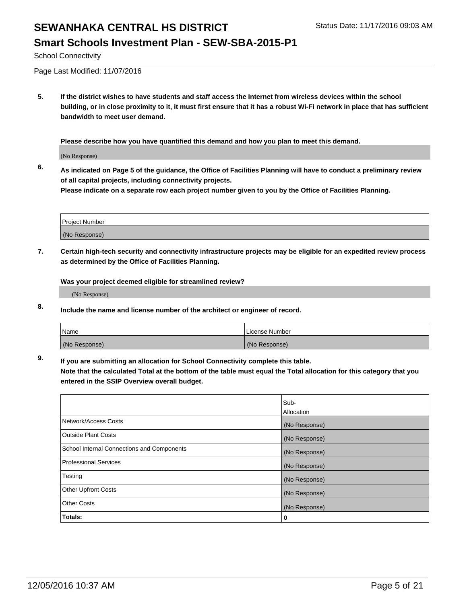School Connectivity

Page Last Modified: 11/07/2016

**5. If the district wishes to have students and staff access the Internet from wireless devices within the school building, or in close proximity to it, it must first ensure that it has a robust Wi-Fi network in place that has sufficient bandwidth to meet user demand.**

**Please describe how you have quantified this demand and how you plan to meet this demand.**

(No Response)

**6. As indicated on Page 5 of the guidance, the Office of Facilities Planning will have to conduct a preliminary review of all capital projects, including connectivity projects.**

**Please indicate on a separate row each project number given to you by the Office of Facilities Planning.**

| Project Number |  |
|----------------|--|
|                |  |
| (No Response)  |  |

**7. Certain high-tech security and connectivity infrastructure projects may be eligible for an expedited review process as determined by the Office of Facilities Planning.**

**Was your project deemed eligible for streamlined review?**

(No Response)

**8. Include the name and license number of the architect or engineer of record.**

| <b>Name</b>   | License Number |
|---------------|----------------|
| (No Response) | (No Response)  |

**9. If you are submitting an allocation for School Connectivity complete this table.**

**Note that the calculated Total at the bottom of the table must equal the Total allocation for this category that you entered in the SSIP Overview overall budget.** 

|                                            | Sub-              |
|--------------------------------------------|-------------------|
|                                            | <b>Allocation</b> |
| Network/Access Costs                       | (No Response)     |
| <b>Outside Plant Costs</b>                 | (No Response)     |
| School Internal Connections and Components | (No Response)     |
| <b>Professional Services</b>               | (No Response)     |
| Testing                                    | (No Response)     |
| <b>Other Upfront Costs</b>                 | (No Response)     |
| <b>Other Costs</b>                         | (No Response)     |
| Totals:                                    | 0                 |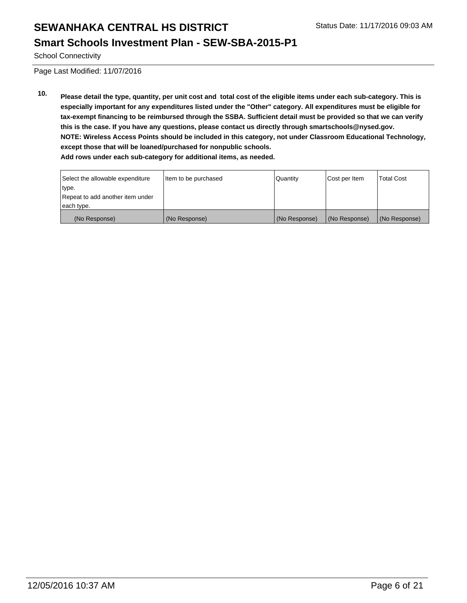### **Smart Schools Investment Plan - SEW-SBA-2015-P1**

School Connectivity

Page Last Modified: 11/07/2016

**10. Please detail the type, quantity, per unit cost and total cost of the eligible items under each sub-category. This is especially important for any expenditures listed under the "Other" category. All expenditures must be eligible for tax-exempt financing to be reimbursed through the SSBA. Sufficient detail must be provided so that we can verify this is the case. If you have any questions, please contact us directly through smartschools@nysed.gov. NOTE: Wireless Access Points should be included in this category, not under Classroom Educational Technology, except those that will be loaned/purchased for nonpublic schools. Add rows under each sub-category for additional items, as needed.**

| Select the allowable expenditure | Item to be purchased | Quantity      | Cost per Item | <b>Total Cost</b> |
|----------------------------------|----------------------|---------------|---------------|-------------------|
| type.                            |                      |               |               |                   |
| Repeat to add another item under |                      |               |               |                   |
| each type.                       |                      |               |               |                   |
| (No Response)                    | (No Response)        | (No Response) | (No Response) | (No Response)     |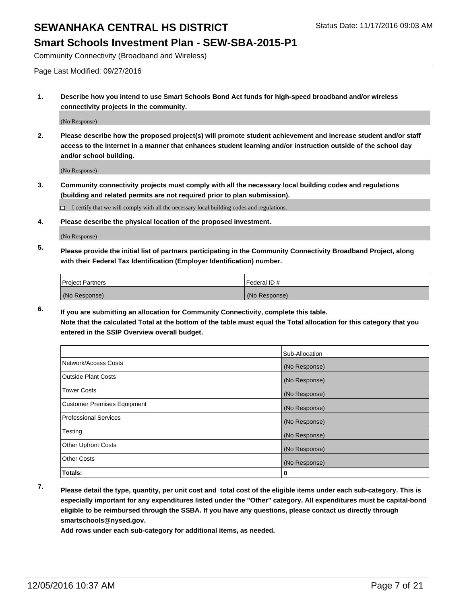Community Connectivity (Broadband and Wireless)

Page Last Modified: 09/27/2016

**1. Describe how you intend to use Smart Schools Bond Act funds for high-speed broadband and/or wireless connectivity projects in the community.**

(No Response)

**2. Please describe how the proposed project(s) will promote student achievement and increase student and/or staff access to the Internet in a manner that enhances student learning and/or instruction outside of the school day and/or school building.**

(No Response)

**3. Community connectivity projects must comply with all the necessary local building codes and regulations (building and related permits are not required prior to plan submission).**

I certify that we will comply with all the necessary local building codes and regulations.  $\Box$ 

**4. Please describe the physical location of the proposed investment.**

(No Response)

**5. Please provide the initial list of partners participating in the Community Connectivity Broadband Project, along with their Federal Tax Identification (Employer Identification) number.**

| <b>Project Partners</b> | Federal ID#   |
|-------------------------|---------------|
| (No Response)           | (No Response) |

**6. If you are submitting an allocation for Community Connectivity, complete this table. Note that the calculated Total at the bottom of the table must equal the Total allocation for this category that you entered in the SSIP Overview overall budget.**

|                                    | Sub-Allocation |
|------------------------------------|----------------|
| Network/Access Costs               | (No Response)  |
| <b>Outside Plant Costs</b>         | (No Response)  |
| <b>Tower Costs</b>                 | (No Response)  |
| <b>Customer Premises Equipment</b> | (No Response)  |
| <b>Professional Services</b>       | (No Response)  |
| Testing                            | (No Response)  |
| <b>Other Upfront Costs</b>         | (No Response)  |
| <b>Other Costs</b>                 | (No Response)  |
| Totals:                            | 0              |

**7. Please detail the type, quantity, per unit cost and total cost of the eligible items under each sub-category. This is especially important for any expenditures listed under the "Other" category. All expenditures must be capital-bond eligible to be reimbursed through the SSBA. If you have any questions, please contact us directly through smartschools@nysed.gov.**

**Add rows under each sub-category for additional items, as needed.**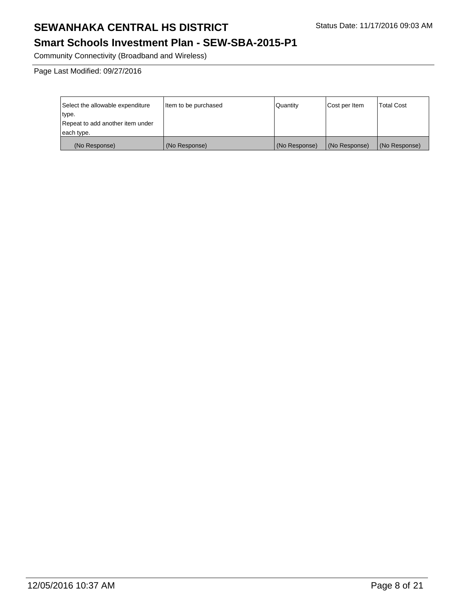### **Smart Schools Investment Plan - SEW-SBA-2015-P1**

Community Connectivity (Broadband and Wireless)

Page Last Modified: 09/27/2016

| Select the allowable expenditure | Item to be purchased | Quantity      | Cost per Item | Total Cost    |
|----------------------------------|----------------------|---------------|---------------|---------------|
| type.                            |                      |               |               |               |
| Repeat to add another item under |                      |               |               |               |
| each type.                       |                      |               |               |               |
| (No Response)                    | (No Response)        | (No Response) | (No Response) | (No Response) |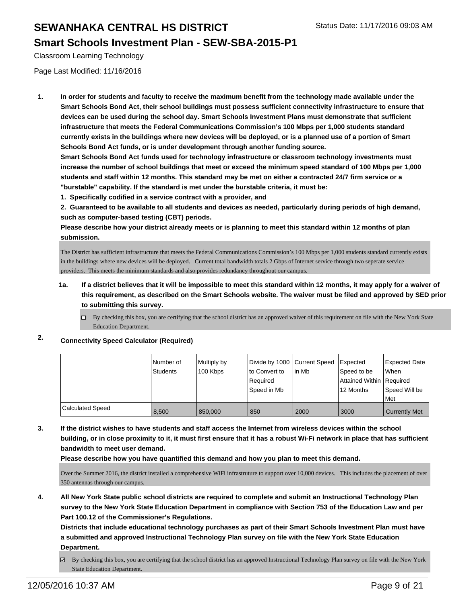#### **Smart Schools Investment Plan - SEW-SBA-2015-P1**

Classroom Learning Technology

Page Last Modified: 11/16/2016

**1. In order for students and faculty to receive the maximum benefit from the technology made available under the Smart Schools Bond Act, their school buildings must possess sufficient connectivity infrastructure to ensure that devices can be used during the school day. Smart Schools Investment Plans must demonstrate that sufficient infrastructure that meets the Federal Communications Commission's 100 Mbps per 1,000 students standard currently exists in the buildings where new devices will be deployed, or is a planned use of a portion of Smart Schools Bond Act funds, or is under development through another funding source.**

**Smart Schools Bond Act funds used for technology infrastructure or classroom technology investments must increase the number of school buildings that meet or exceed the minimum speed standard of 100 Mbps per 1,000 students and staff within 12 months. This standard may be met on either a contracted 24/7 firm service or a "burstable" capability. If the standard is met under the burstable criteria, it must be:**

**1. Specifically codified in a service contract with a provider, and**

**2. Guaranteed to be available to all students and devices as needed, particularly during periods of high demand, such as computer-based testing (CBT) periods.**

**Please describe how your district already meets or is planning to meet this standard within 12 months of plan submission.**

The District has sufficient infrastructure that meets the Federal Communications Commission's 100 Mbps per 1,000 students standard currently exists in the buildings where new devices will be deployed. Current total bandwidth totals 2 Gbps of Internet service through two seperate service providers. This meets the minimum standards and also provides redundancy throughout our campus.

- **1a. If a district believes that it will be impossible to meet this standard within 12 months, it may apply for a waiver of this requirement, as described on the Smart Schools website. The waiver must be filed and approved by SED prior to submitting this survey.**
	- $\Box$  By checking this box, you are certifying that the school district has an approved waiver of this requirement on file with the New York State Education Department.

#### **2. Connectivity Speed Calculator (Required)**

|                  | Number of       | Multiply by | Divide by 1000 Current Speed |        | <b>Expected</b>            | <b>Expected Date</b> |
|------------------|-----------------|-------------|------------------------------|--------|----------------------------|----------------------|
|                  | <b>Students</b> | 100 Kbps    | lto Convert to               | lin Mb | Speed to be                | When                 |
|                  |                 |             | l Reauired                   |        | Attained Within   Required |                      |
|                  |                 |             | l Speed in Mb                |        | 12 Months                  | Speed Will be        |
|                  |                 |             |                              |        |                            | Met                  |
| Calculated Speed | 8.500           | 850,000     | 850                          | 2000   | 3000                       | <b>Currently Met</b> |

**3. If the district wishes to have students and staff access the Internet from wireless devices within the school building, or in close proximity to it, it must first ensure that it has a robust Wi-Fi network in place that has sufficient bandwidth to meet user demand.**

**Please describe how you have quantified this demand and how you plan to meet this demand.**

Over the Summer 2016, the district installed a comprehensive WiFi infrastruture to support over 10,000 devices. This includes the placement of over 350 antennas through our campus.

**4. All New York State public school districts are required to complete and submit an Instructional Technology Plan survey to the New York State Education Department in compliance with Section 753 of the Education Law and per Part 100.12 of the Commissioner's Regulations.**

**Districts that include educational technology purchases as part of their Smart Schools Investment Plan must have a submitted and approved Instructional Technology Plan survey on file with the New York State Education Department.**

By checking this box, you are certifying that the school district has an approved Instructional Technology Plan survey on file with the New York ☞ State Education Department.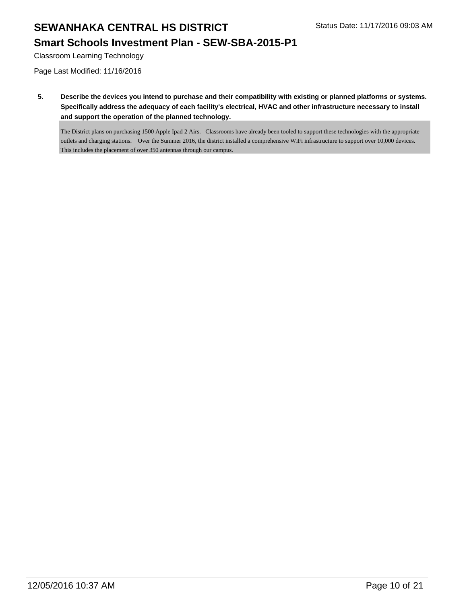### **Smart Schools Investment Plan - SEW-SBA-2015-P1**

Classroom Learning Technology

Page Last Modified: 11/16/2016

**5. Describe the devices you intend to purchase and their compatibility with existing or planned platforms or systems. Specifically address the adequacy of each facility's electrical, HVAC and other infrastructure necessary to install and support the operation of the planned technology.**

The District plans on purchasing 1500 Apple Ipad 2 Airs. Classrooms have already been tooled to support these technologies with the appropriate outlets and charging stations. Over the Summer 2016, the district installed a comprehensive WiFi infrastructure to support over 10,000 devices. This includes the placement of over 350 antennas through our campus.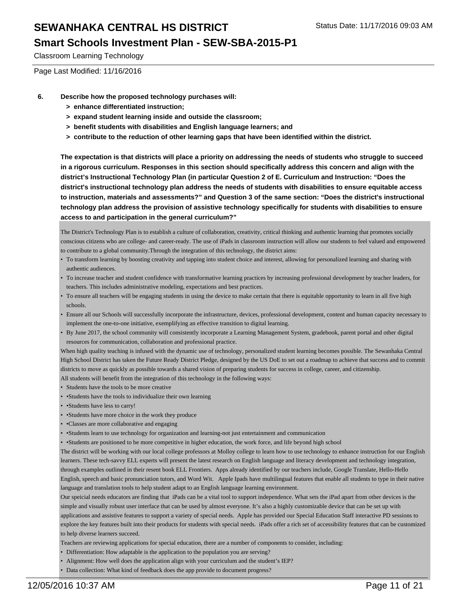#### **Smart Schools Investment Plan - SEW-SBA-2015-P1**

Classroom Learning Technology

Page Last Modified: 11/16/2016

- **6. Describe how the proposed technology purchases will:**
	- **> enhance differentiated instruction;**
	- **> expand student learning inside and outside the classroom;**
	- **> benefit students with disabilities and English language learners; and**
	- **> contribute to the reduction of other learning gaps that have been identified within the district.**

**The expectation is that districts will place a priority on addressing the needs of students who struggle to succeed in a rigorous curriculum. Responses in this section should specifically address this concern and align with the district's Instructional Technology Plan (in particular Question 2 of E. Curriculum and Instruction: "Does the district's instructional technology plan address the needs of students with disabilities to ensure equitable access to instruction, materials and assessments?" and Question 3 of the same section: "Does the district's instructional technology plan address the provision of assistive technology specifically for students with disabilities to ensure access to and participation in the general curriculum?"**

The District's Technology Plan is to establish a culture of collaboration, creativity, critical thinking and authentic learning that promotes socially conscious citizens who are college- and career-ready. The use of iPads in classroom instruction will allow our students to feel valued and empowered to contribute to a global community.Through the integration of this technology, the district aims:

- To transform learning by boosting creativity and tapping into student choice and interest, allowing for personalized learning and sharing with authentic audiences.
- To increase teacher and student confidence with transformative learning practices by increasing professional development by teacher leaders, for teachers. This includes administrative modeling, expectations and best practices.
- To ensure all teachers will be engaging students in using the device to make certain that there is equitable opportunity to learn in all five high schools.
- Ensure all our Schools will successfully incorporate the infrastructure, devices, professional development, content and human capacity necessary to implement the one-to-one initiative, exemplifying an effective transition to digital learning.
- By June 2017, the school community will consistently incorporate a Learning Management System, gradebook, parent portal and other digital resources for communication, collaboration and professional practice.

When high quality teaching is infused with the dynamic use of technology, personalized student learning becomes possible. The Sewanhaka Central High School District has taken the Future Ready District Pledge, designed by the US DoE to set out a roadmap to achieve that success and to commit districts to move as quickly as possible towards a shared vision of preparing students for success in college, career, and citizenship.

All students will benefit from the integration of this technology in the following ways:

- Students have the tools to be more creative
- •Students have the tools to individualize their own learning
- •Students have less to carry!
- •Students have more choice in the work they produce
- •Classes are more collaborative and engaging
- •Students learn to use technology for organization and learning-not just entertainment and communication
- • Students are positioned to be more competitive in higher education, the work force, and life beyond high school

The district will be working with our local college professors at Molloy college to learn how to use technology to enhance instruction for our English learners. These tech-savvy ELL experts will present the latest research on English language and literacy development and technology integration, through examples outlined in their resent book ELL Frontiers. Apps already identified by our teachers include, Google Translate, Hello-Hello English, speech and basic pronunciation tutors, and Word Wit. Apple Ipads have multilingual features that enable all students to type in their native language and translation tools to help student adapt to an English language learning environment.

Our speicial needs educators are finding that iPads can be a vital tool to support independence. What sets the iPad apart from other devices is the simple and visually robust user interface that can be used by almost everyone. It's also a highly customizable device that can be set up with applications and assistive features to support a variety of special needs. Apple has provided our Special Education Staff interactive PD sessions to explore the key features built into their products for students with special needs. iPads offer a rich set of accessibility features that can be customized to help diverse learners succeed.

Teachers are reviewing applications for special education, there are a number of components to consider, including:

- Differentiation: How adaptable is the application to the population you are serving?
- Alignment: How well does the application align with your curriculum and the student's IEP?
- Data collection: What kind of feedback does the app provide to document progress?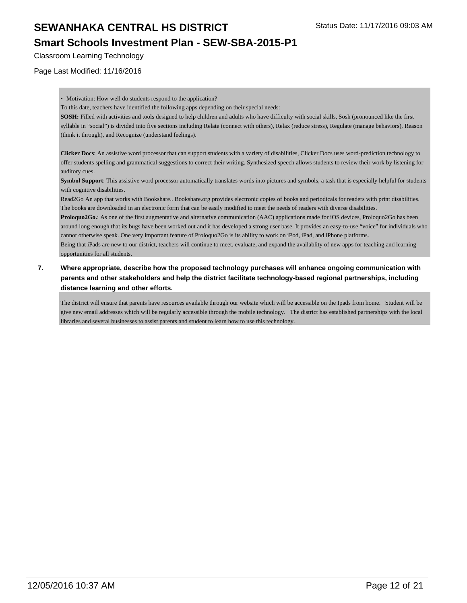#### **Smart Schools Investment Plan - SEW-SBA-2015-P1**

Classroom Learning Technology

Page Last Modified: 11/16/2016

• Motivation: How well do students respond to the application?

To this date, teachers have identified the following apps depending on their special needs:

**SOSH:** Filled with activities and tools designed to help children and adults who have difficulty with social skills, Sosh (pronounced like the first syllable in "social") is divided into five sections including Relate (connect with others), Relax (reduce stress), Regulate (manage behaviors), Reason (think it through), and Recognize (understand feelings).

**Clicker Docs**: An assistive word processor that can support students with a variety of disabilities, Clicker Docs uses word-prediction technology to offer students spelling and grammatical suggestions to correct their writing. Synthesized speech allows students to review their work by listening for auditory cues.

**Symbol Support**: This assistive word processor automatically translates words into pictures and symbols, a task that is especially helpful for students with cognitive disabilities.

Read2Go An app that works with Bookshare.. Bookshare.org provides electronic copies of books and periodicals for readers with print disabilities. The books are downloaded in an electronic form that can be easily modified to meet the needs of readers with diverse disabilities.

**Proloquo2Go.**: As one of the first augmentative and alternative communication (AAC) applications made for iOS devices, Proloquo2Go has been around long enough that its bugs have been worked out and it has developed a strong user base. It provides an easy-to-use "voice" for individuals who cannot otherwise speak. One very important feature of Proloquo2Go is its ability to work on iPod, iPad, and iPhone platforms.

Being that iPads are new to our district, teachers will continue to meet, evaluate, and expand the availablity of new apps for teaching and learning opportunities for all students.

**7. Where appropriate, describe how the proposed technology purchases will enhance ongoing communication with parents and other stakeholders and help the district facilitate technology-based regional partnerships, including distance learning and other efforts.**

The district will ensure that parents have resources available through our website which will be accessible on the Ipads from home. Student will be give new email addresses which will be regularly accessible through the mobile technology. The district has established partnerships with the local libraries and several businesses to assist parents and student to learn how to use this technology.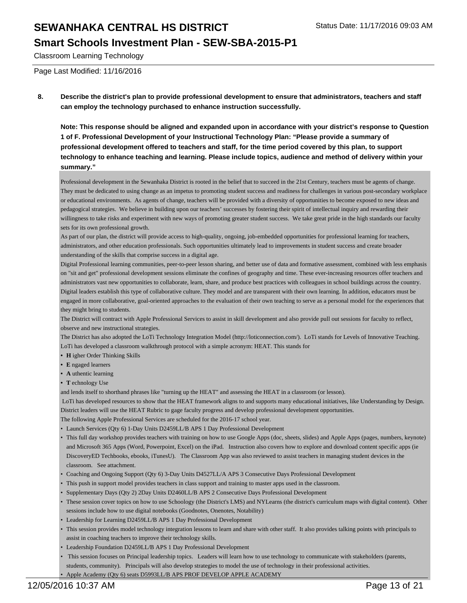#### **Smart Schools Investment Plan - SEW-SBA-2015-P1**

Classroom Learning Technology

Page Last Modified: 11/16/2016

#### **8. Describe the district's plan to provide professional development to ensure that administrators, teachers and staff can employ the technology purchased to enhance instruction successfully.**

**Note: This response should be aligned and expanded upon in accordance with your district's response to Question 1 of F. Professional Development of your Instructional Technology Plan: "Please provide a summary of professional development offered to teachers and staff, for the time period covered by this plan, to support technology to enhance teaching and learning. Please include topics, audience and method of delivery within your summary."**

Professional development in the Sewanhaka District is rooted in the belief that to succeed in the 21st Century, teachers must be agents of change. They must be dedicated to using change as an impetus to promoting student success and readiness for challenges in various post-secondary workplace or educational environments. As agents of change, teachers will be provided with a diversity of opportunities to become exposed to new ideas and pedagogical strategies. We believe in building upon our teachers' successes by fostering their spirit of intellectual inquiry and rewarding their willingness to take risks and experiment with new ways of promoting greater student success. We take great pride in the high standards our faculty sets for its own professional growth.

As part of our plan, the district will provide access to high-quality, ongoing, job-embedded opportunities for professional learning for teachers, administrators, and other education professionals. Such opportunities ultimately lead to improvements in student success and create broader understanding of the skills that comprise success in a digital age.

Digital Professional learning communities, peer-to-peer lesson sharing, and better use of data and formative assessment, combined with less emphasis on "sit and get" professional development sessions eliminate the confines of geography and time. These ever-increasing resources offer teachers and administrators vast new opportunities to collaborate, learn, share, and produce best practices with colleagues in school buildings across the country. Digital leaders establish this type of collaborative culture. They model and are transparent with their own learning. In addition, educators must be engaged in more collaborative, goal-oriented approaches to the evaluation of their own teaching to serve as a personal model for the experiences that they might bring to students.

The District will contract with Apple Professional Services to assist in skill development and also provide pull out sessions for faculty to reflect, observe and new instructional strategies.

The District has also adopted the LoTi Technology Integration Model (http://loticonnection.com/). LoTi stands for Levels of Innovative Teaching. LoTi has developed a classroom walkthrough protocol with a simple acronym: HEAT. This stands for

- **• H** igher Order Thinking Skills
- **• E** ngaged learners
- **• A** uthentic learning
- **• T** echnology Use

and lends itself to shorthand phrases like "turning up the HEAT" and assessing the HEAT in a classroom (or lesson).

 LoTi has developed resources to show that the HEAT framework aligns to and supports many educational initiatives, like Understanding by Design. District leaders will use the HEAT Rubric to gage faculty progress and develop professional development opportunities.

The following Apple Professional Services are scheduled for the 2016-17 school year.

- Launch Services (Qty 6) 1-Day Units D2459LL/B APS 1 Day Professional Development
- This full day workshop provides teachers with training on how to use Google Apps (doc, sheets, slides) and Apple Apps (pages, numbers, keynote) and Microsoft 365 Apps (Word, Powerpoint, Excel) on the iPad. Instruction also covers how to explore and download content specific apps (ie DiscoveryED Techbooks, ebooks, iTunesU). The Classroom App was also reviewed to assist teachers in managing student devices in the classroom. See attachment.
- Coaching and Ongoing Support (Qty 6) 3-Day Units D4527LL/A APS 3 Consecutive Days Professional Development
- This push in support model provides teachers in class support and training to master apps used in the classroom.
- Supplementary Days (Qty 2) 2Day Units D2460LL/B APS 2 Consecutive Days Professional Development
- These session cover topics on how to use Schoology (the District's LMS) and NYLearns (the district's curriculum maps with digital content). Other sessions include how to use digital notebooks (Goodnotes, Onenotes, Notability)
- Leadership for Learning D2459LL/B APS 1 Day Professional Development
- This session provides model technology integration lessons to learn and share with other staff. It also provides talking points with principals to assist in coaching teachers to improve their technology skills.
- Leadership Foundation D2459LL/B APS 1 Day Professional Development
- This session focuses on Principal leadership topics. Leaders will learn how to use technology to communicate with stakeholders (parents, students, community). Principals will also develop strategies to model the use of technology in their professional activities.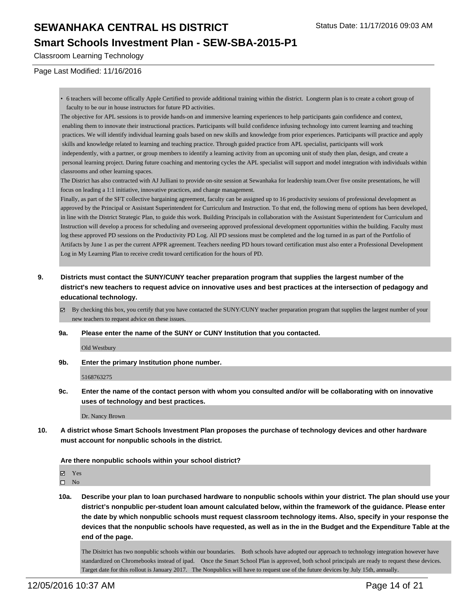#### **Smart Schools Investment Plan - SEW-SBA-2015-P1**

Classroom Learning Technology

Page Last Modified: 11/16/2016

• 6 teachers will become offically Apple Certified to provide additional training within the district. Longterm plan is to create a cohort group of faculty to be our in house instructors for future PD activities.

The objective for APL sessions is to provide hands-on and immersive learning experiences to help participants gain confidence and context, enabling them to innovate their instructional practices. Participants will build confidence infusing technology into current learning and teaching practices. We will identify individual learning goals based on new skills and knowledge from prior experiences. Participants will practice and apply skills and knowledge related to learning and teaching practice. Through guided practice from APL specialist, participants will work independently, with a partner, or group members to identify a learning activity from an upcoming unit of study then plan, design, and create a personal learning project. During future coaching and mentoring cycles the APL specialist will support and model integration with individuals within classrooms and other learning spaces.

The District has also contracted with AJ Julliani to provide on-site session at Sewanhaka for leadership team.Over five onsite presentations, he will focus on leading a 1:1 initiative, innovative practices, and change management.

Finally, as part of the SFT collective bargaining agreement, faculty can be assigned up to 16 productivity sessions of professional development as approved by the Principal or Assistant Superintendent for Curriculum and Instruction. To that end, the following menu of options has been developed, in line with the District Strategic Plan, to guide this work. Building Principals in collaboration with the Assistant Superintendent for Curriculum and Instruction will develop a process for scheduling and overseeing approved professional development opportunities within the building. Faculty must log these approved PD sessions on the Productivity PD Log. All PD sessions must be completed and the log turned in as part of the Portfolio of Artifacts by June 1 as per the current APPR agreement. Teachers needing PD hours toward certification must also enter a Professional Development Log in My Learning Plan to receive credit toward certification for the hours of PD.

- **9. Districts must contact the SUNY/CUNY teacher preparation program that supplies the largest number of the district's new teachers to request advice on innovative uses and best practices at the intersection of pedagogy and educational technology.**
	- By checking this box, you certify that you have contacted the SUNY/CUNY teacher preparation program that supplies the largest number of your new teachers to request advice on these issues.
	- **9a. Please enter the name of the SUNY or CUNY Institution that you contacted.**

Old Westbury

**9b. Enter the primary Institution phone number.**

5168763275

**9c. Enter the name of the contact person with whom you consulted and/or will be collaborating with on innovative uses of technology and best practices.**

Dr. Nancy Brown

**10. A district whose Smart Schools Investment Plan proposes the purchase of technology devices and other hardware must account for nonpublic schools in the district.**

**Are there nonpublic schools within your school district?**

Yes

 $\square$  No

**10a. Describe your plan to loan purchased hardware to nonpublic schools within your district. The plan should use your district's nonpublic per-student loan amount calculated below, within the framework of the guidance. Please enter the date by which nonpublic schools must request classroom technology items. Also, specify in your response the devices that the nonpublic schools have requested, as well as in the in the Budget and the Expenditure Table at the end of the page.**

The Disitrict has two nonpublic schools within our boundaries. Both schools have adopted our approach to technology integration however have standardized on Chromebooks instead of ipad. Once the Smart School Plan is approved, both school principals are ready to request these devices. Target date for this rollout is January 2017. The Nonpublics will have to request use of the future devices by July 15th, annually.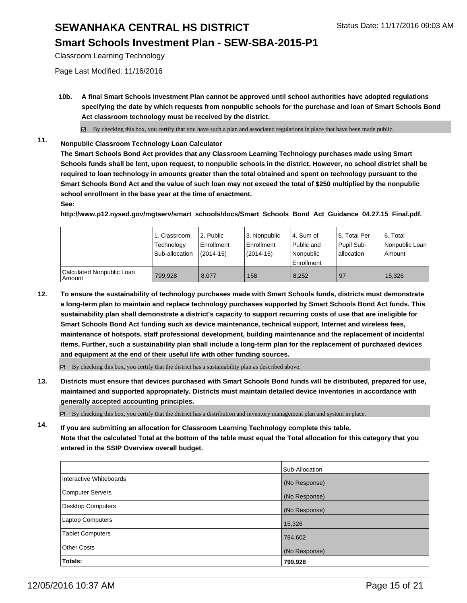### **Smart Schools Investment Plan - SEW-SBA-2015-P1**

Classroom Learning Technology

Page Last Modified: 11/16/2016

**10b. A final Smart Schools Investment Plan cannot be approved until school authorities have adopted regulations specifying the date by which requests from nonpublic schools for the purchase and loan of Smart Schools Bond Act classroom technology must be received by the district.**

 $\boxtimes$  By checking this box, you certify that you have such a plan and associated regulations in place that have been made public.

**11. Nonpublic Classroom Technology Loan Calculator**

**The Smart Schools Bond Act provides that any Classroom Learning Technology purchases made using Smart Schools funds shall be lent, upon request, to nonpublic schools in the district. However, no school district shall be required to loan technology in amounts greater than the total obtained and spent on technology pursuant to the Smart Schools Bond Act and the value of such loan may not exceed the total of \$250 multiplied by the nonpublic school enrollment in the base year at the time of enactment. See:**

**http://www.p12.nysed.gov/mgtserv/smart\_schools/docs/Smart\_Schools\_Bond\_Act\_Guidance\_04.27.15\_Final.pdf.**

|                                     | 1. Classroom<br>Technology<br>Sub-allocation | 2. Public<br>Enrollment<br>$(2014 - 15)$ | 3. Nonpublic<br><b>Enrollment</b><br>$(2014 - 15)$ | l 4. Sum of<br>Public and<br>l Nonpublic<br>Enrollment | l 5. Total Per<br>Pupil Sub-<br>allocation | 6. Total<br>l Nonpublic Loan l<br>Amount |
|-------------------------------------|----------------------------------------------|------------------------------------------|----------------------------------------------------|--------------------------------------------------------|--------------------------------------------|------------------------------------------|
| Calculated Nonpublic Loan<br>Amount | 799.928                                      | 8.077                                    | 158                                                | 8.252                                                  | 197                                        | 15.326                                   |

**12. To ensure the sustainability of technology purchases made with Smart Schools funds, districts must demonstrate a long-term plan to maintain and replace technology purchases supported by Smart Schools Bond Act funds. This sustainability plan shall demonstrate a district's capacity to support recurring costs of use that are ineligible for Smart Schools Bond Act funding such as device maintenance, technical support, Internet and wireless fees, maintenance of hotspots, staff professional development, building maintenance and the replacement of incidental items. Further, such a sustainability plan shall include a long-term plan for the replacement of purchased devices and equipment at the end of their useful life with other funding sources.**

By checking this box, you certify that the district has a sustainability plan as described above.

**13. Districts must ensure that devices purchased with Smart Schools Bond funds will be distributed, prepared for use, maintained and supported appropriately. Districts must maintain detailed device inventories in accordance with generally accepted accounting principles.**

By checking this box, you certify that the district has a distribution and inventory management plan and system in place.

**14. If you are submitting an allocation for Classroom Learning Technology complete this table. Note that the calculated Total at the bottom of the table must equal the Total allocation for this category that you entered in the SSIP Overview overall budget.**

|                         | Sub-Allocation |
|-------------------------|----------------|
| Interactive Whiteboards | (No Response)  |
| Computer Servers        | (No Response)  |
| Desktop Computers       | (No Response)  |
| Laptop Computers        | 15,326         |
| <b>Tablet Computers</b> | 784,602        |
| Other Costs             | (No Response)  |
| Totals:                 | 799,928        |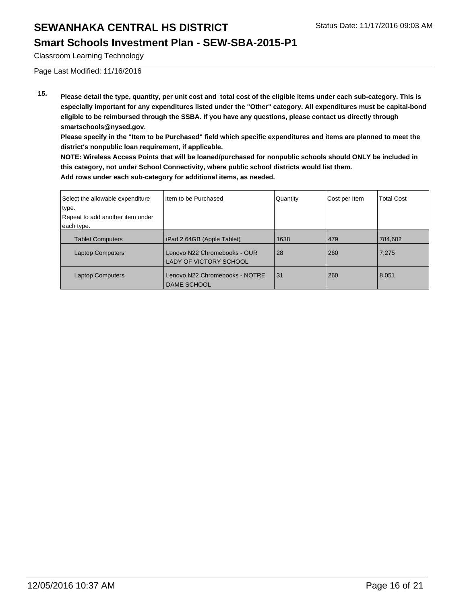#### **Smart Schools Investment Plan - SEW-SBA-2015-P1**

Classroom Learning Technology

Page Last Modified: 11/16/2016

**15. Please detail the type, quantity, per unit cost and total cost of the eligible items under each sub-category. This is especially important for any expenditures listed under the "Other" category. All expenditures must be capital-bond eligible to be reimbursed through the SSBA. If you have any questions, please contact us directly through smartschools@nysed.gov.**

**Please specify in the "Item to be Purchased" field which specific expenditures and items are planned to meet the district's nonpublic loan requirement, if applicable.**

**NOTE: Wireless Access Points that will be loaned/purchased for nonpublic schools should ONLY be included in this category, not under School Connectivity, where public school districts would list them. Add rows under each sub-category for additional items, as needed.**

| Select the allowable expenditure<br>type.<br>Repeat to add another item under | Item to be Purchased                                          | Quantity | Cost per Item | <b>Total Cost</b> |
|-------------------------------------------------------------------------------|---------------------------------------------------------------|----------|---------------|-------------------|
| each type.                                                                    |                                                               |          |               |                   |
| <b>Tablet Computers</b>                                                       | iPad 2 64GB (Apple Tablet)                                    | 1638     | 479           | 784.602           |
| <b>Laptop Computers</b>                                                       | Lenovo N22 Chromebooks - OUR<br><b>LADY OF VICTORY SCHOOL</b> | 28       | 260           | 7,275             |
| <b>Laptop Computers</b>                                                       | Lenovo N22 Chromebooks - NOTRE<br><b>DAME SCHOOL</b>          | 31       | 260           | 8,051             |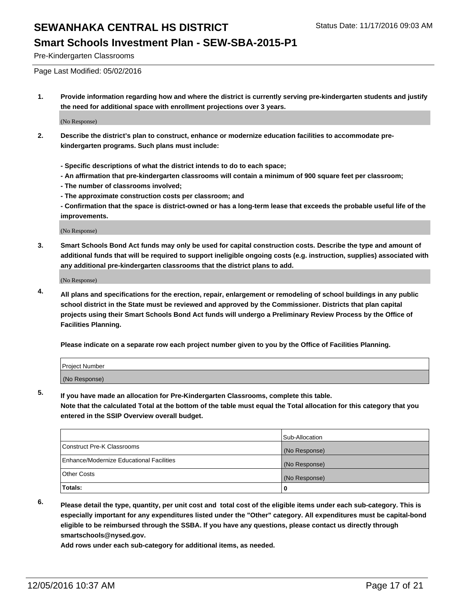Pre-Kindergarten Classrooms

Page Last Modified: 05/02/2016

**1. Provide information regarding how and where the district is currently serving pre-kindergarten students and justify the need for additional space with enrollment projections over 3 years.**

(No Response)

- **2. Describe the district's plan to construct, enhance or modernize education facilities to accommodate prekindergarten programs. Such plans must include:**
	- **Specific descriptions of what the district intends to do to each space;**
	- **An affirmation that pre-kindergarten classrooms will contain a minimum of 900 square feet per classroom;**
	- **The number of classrooms involved;**
	- **The approximate construction costs per classroom; and**
	- **Confirmation that the space is district-owned or has a long-term lease that exceeds the probable useful life of the improvements.**

(No Response)

**3. Smart Schools Bond Act funds may only be used for capital construction costs. Describe the type and amount of additional funds that will be required to support ineligible ongoing costs (e.g. instruction, supplies) associated with any additional pre-kindergarten classrooms that the district plans to add.**

(No Response)

**4. All plans and specifications for the erection, repair, enlargement or remodeling of school buildings in any public school district in the State must be reviewed and approved by the Commissioner. Districts that plan capital projects using their Smart Schools Bond Act funds will undergo a Preliminary Review Process by the Office of Facilities Planning.**

**Please indicate on a separate row each project number given to you by the Office of Facilities Planning.**

| Project Number |  |  |
|----------------|--|--|
| (No Response)  |  |  |

**5. If you have made an allocation for Pre-Kindergarten Classrooms, complete this table.**

**Note that the calculated Total at the bottom of the table must equal the Total allocation for this category that you entered in the SSIP Overview overall budget.**

|                                          | Sub-Allocation |
|------------------------------------------|----------------|
| Construct Pre-K Classrooms               | (No Response)  |
| Enhance/Modernize Educational Facilities | (No Response)  |
| Other Costs                              | (No Response)  |
| Totals:                                  |                |

**6. Please detail the type, quantity, per unit cost and total cost of the eligible items under each sub-category. This is especially important for any expenditures listed under the "Other" category. All expenditures must be capital-bond eligible to be reimbursed through the SSBA. If you have any questions, please contact us directly through smartschools@nysed.gov.**

**Add rows under each sub-category for additional items, as needed.**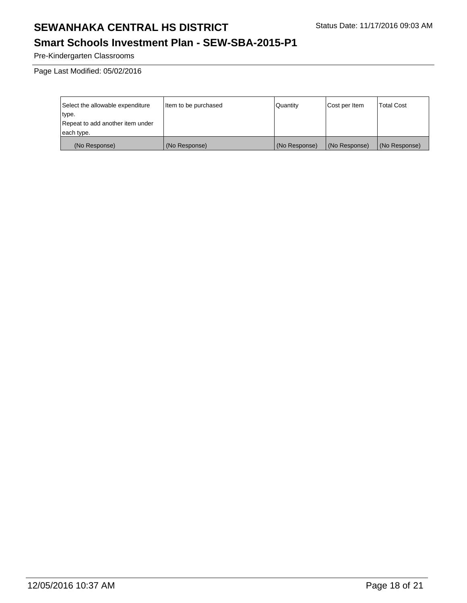### **Smart Schools Investment Plan - SEW-SBA-2015-P1**

Pre-Kindergarten Classrooms

Page Last Modified: 05/02/2016

| Select the allowable expenditure | Item to be purchased | Quantity      | Cost per Item | Total Cost    |
|----------------------------------|----------------------|---------------|---------------|---------------|
| type.                            |                      |               |               |               |
| Repeat to add another item under |                      |               |               |               |
| each type.                       |                      |               |               |               |
| (No Response)                    | (No Response)        | (No Response) | (No Response) | (No Response) |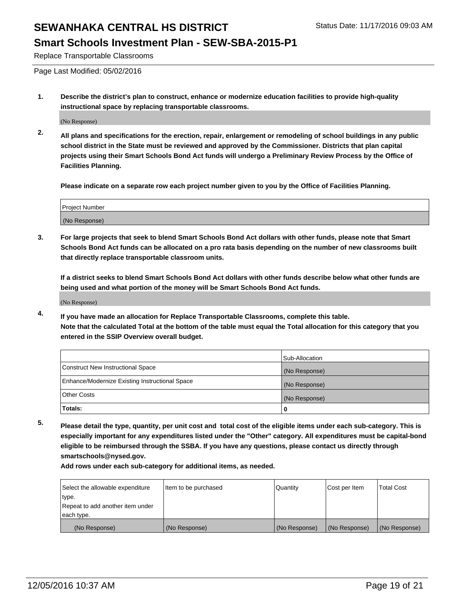#### **Smart Schools Investment Plan - SEW-SBA-2015-P1**

Replace Transportable Classrooms

Page Last Modified: 05/02/2016

**1. Describe the district's plan to construct, enhance or modernize education facilities to provide high-quality instructional space by replacing transportable classrooms.**

(No Response)

**2. All plans and specifications for the erection, repair, enlargement or remodeling of school buildings in any public school district in the State must be reviewed and approved by the Commissioner. Districts that plan capital projects using their Smart Schools Bond Act funds will undergo a Preliminary Review Process by the Office of Facilities Planning.**

**Please indicate on a separate row each project number given to you by the Office of Facilities Planning.**

| <b>Project Number</b> |  |
|-----------------------|--|
| (No Response)         |  |

**3. For large projects that seek to blend Smart Schools Bond Act dollars with other funds, please note that Smart Schools Bond Act funds can be allocated on a pro rata basis depending on the number of new classrooms built that directly replace transportable classroom units.**

**If a district seeks to blend Smart Schools Bond Act dollars with other funds describe below what other funds are being used and what portion of the money will be Smart Schools Bond Act funds.**

(No Response)

**4. If you have made an allocation for Replace Transportable Classrooms, complete this table. Note that the calculated Total at the bottom of the table must equal the Total allocation for this category that you entered in the SSIP Overview overall budget.**

|                                                | Sub-Allocation |
|------------------------------------------------|----------------|
| Construct New Instructional Space              | (No Response)  |
| Enhance/Modernize Existing Instructional Space | (No Response)  |
| <b>Other Costs</b>                             | (No Response)  |
| Totals:                                        |                |

**5. Please detail the type, quantity, per unit cost and total cost of the eligible items under each sub-category. This is especially important for any expenditures listed under the "Other" category. All expenditures must be capital-bond eligible to be reimbursed through the SSBA. If you have any questions, please contact us directly through smartschools@nysed.gov.**

**Add rows under each sub-category for additional items, as needed.**

| Select the allowable expenditure | Item to be purchased | Quantity      | Cost per Item | <b>Total Cost</b> |
|----------------------------------|----------------------|---------------|---------------|-------------------|
| type.                            |                      |               |               |                   |
| Repeat to add another item under |                      |               |               |                   |
| each type.                       |                      |               |               |                   |
| (No Response)                    | (No Response)        | (No Response) | (No Response) | (No Response)     |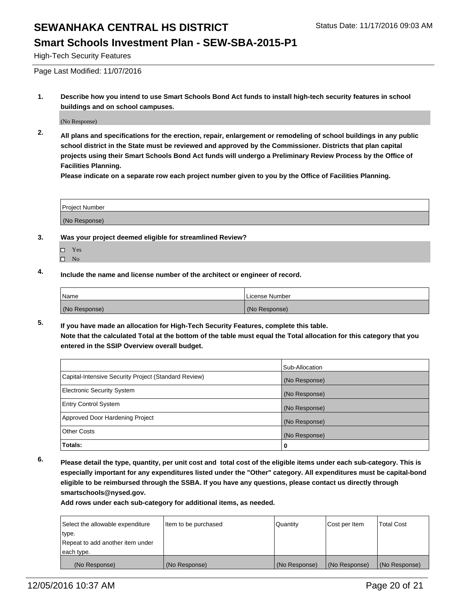#### **Smart Schools Investment Plan - SEW-SBA-2015-P1**

High-Tech Security Features

Page Last Modified: 11/07/2016

**1. Describe how you intend to use Smart Schools Bond Act funds to install high-tech security features in school buildings and on school campuses.**

(No Response)

**2. All plans and specifications for the erection, repair, enlargement or remodeling of school buildings in any public school district in the State must be reviewed and approved by the Commissioner. Districts that plan capital projects using their Smart Schools Bond Act funds will undergo a Preliminary Review Process by the Office of Facilities Planning.** 

**Please indicate on a separate row each project number given to you by the Office of Facilities Planning.**

| Project Number |  |
|----------------|--|
| (No Response)  |  |

- **3. Was your project deemed eligible for streamlined Review?**
	- □ Yes
	- $\square$  No
- **4. Include the name and license number of the architect or engineer of record.**

| 'Name         | License Number |
|---------------|----------------|
| (No Response) | (No Response)  |

**5. If you have made an allocation for High-Tech Security Features, complete this table. Note that the calculated Total at the bottom of the table must equal the Total allocation for this category that you entered in the SSIP Overview overall budget.**

|                                                      | Sub-Allocation |
|------------------------------------------------------|----------------|
| Capital-Intensive Security Project (Standard Review) | (No Response)  |
| <b>Electronic Security System</b>                    | (No Response)  |
| <b>Entry Control System</b>                          | (No Response)  |
| Approved Door Hardening Project                      | (No Response)  |
| <b>Other Costs</b>                                   | (No Response)  |
| Totals:                                              | 0              |

**6. Please detail the type, quantity, per unit cost and total cost of the eligible items under each sub-category. This is especially important for any expenditures listed under the "Other" category. All expenditures must be capital-bond eligible to be reimbursed through the SSBA. If you have any questions, please contact us directly through smartschools@nysed.gov.**

**Add rows under each sub-category for additional items, as needed.**

| Select the allowable expenditure | Item to be purchased | Quantity      | Cost per Item | <b>Total Cost</b> |
|----------------------------------|----------------------|---------------|---------------|-------------------|
| type.                            |                      |               |               |                   |
| Repeat to add another item under |                      |               |               |                   |
| each type.                       |                      |               |               |                   |
| (No Response)                    | (No Response)        | (No Response) | (No Response) | (No Response)     |